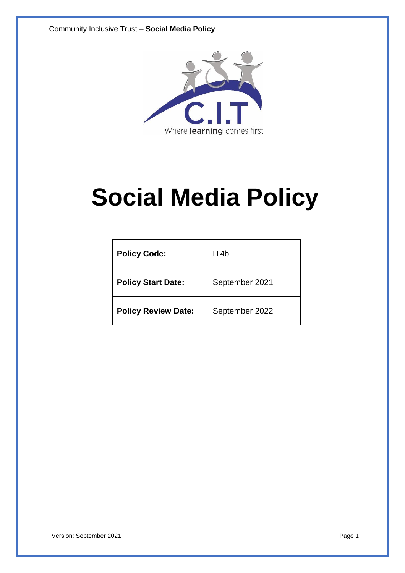

# **Social Media Policy**

| <b>Policy Code:</b>        | IT4b           |
|----------------------------|----------------|
| <b>Policy Start Date:</b>  | September 2021 |
| <b>Policy Review Date:</b> | September 2022 |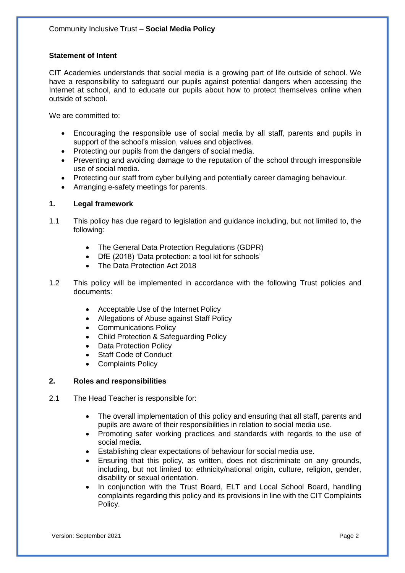# **Statement of Intent**

CIT Academies understands that social media is a growing part of life outside of school. We have a responsibility to safeguard our pupils against potential dangers when accessing the Internet at school, and to educate our pupils about how to protect themselves online when outside of school.

We are committed to:

- Encouraging the responsible use of social media by all staff, parents and pupils in support of the school's mission, values and objectives.
- Protecting our pupils from the dangers of social media.
- Preventing and avoiding damage to the reputation of the school through irresponsible use of social media.
- Protecting our staff from cyber bullying and potentially career damaging behaviour.
- Arranging e-safety meetings for parents.

#### **1. Legal framework**

- 1.1 This policy has due regard to legislation and guidance including, but not limited to, the following:
	- The General Data Protection Regulations (GDPR)
	- DfE (2018) 'Data protection: a tool kit for schools'
	- The Data Protection Act 2018
- 1.2 This policy will be implemented in accordance with the following Trust policies and documents:
	- Acceptable Use of the Internet Policy
	- Allegations of Abuse against Staff Policy
	- Communications Policy
	- Child Protection & Safeguarding Policy
	- Data Protection Policy
	- Staff Code of Conduct
	- Complaints Policy

#### **2. Roles and responsibilities**

- 2.1 The Head Teacher is responsible for:
	- The overall implementation of this policy and ensuring that all staff, parents and pupils are aware of their responsibilities in relation to social media use.
	- Promoting safer working practices and standards with regards to the use of social media.
	- Establishing clear expectations of behaviour for social media use.
	- Ensuring that this policy, as written, does not discriminate on any grounds, including, but not limited to: ethnicity/national origin, culture, religion, gender, disability or sexual orientation.
	- In conjunction with the Trust Board, ELT and Local School Board, handling complaints regarding this policy and its provisions in line with the CIT Complaints Policy.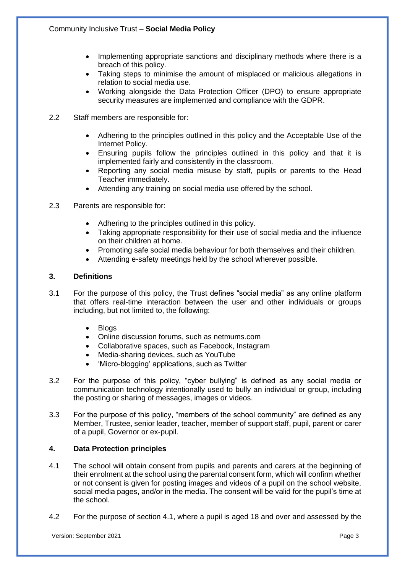- Implementing appropriate sanctions and disciplinary methods where there is a breach of this policy.
- Taking steps to minimise the amount of misplaced or malicious allegations in relation to social media use.
- Working alongside the Data Protection Officer (DPO) to ensure appropriate security measures are implemented and compliance with the GDPR.
- 2.2 Staff members are responsible for:
	- Adhering to the principles outlined in this policy and the Acceptable Use of the Internet Policy.
	- Ensuring pupils follow the principles outlined in this policy and that it is implemented fairly and consistently in the classroom.
	- Reporting any social media misuse by staff, pupils or parents to the Head Teacher immediately.
	- Attending any training on social media use offered by the school.
- 2.3 Parents are responsible for:
	- Adhering to the principles outlined in this policy.
	- Taking appropriate responsibility for their use of social media and the influence on their children at home.
	- Promoting safe social media behaviour for both themselves and their children.
	- Attending e-safety meetings held by the school wherever possible.

# **3. Definitions**

- 3.1 For the purpose of this policy, the Trust defines "social media" as any online platform that offers real-time interaction between the user and other individuals or groups including, but not limited to, the following:
	- Blogs
	- Online discussion forums, such as netmums.com
	- Collaborative spaces, such as Facebook, Instagram
	- Media-sharing devices, such as YouTube
	- 'Micro-blogging' applications, such as Twitter
- 3.2 For the purpose of this policy, "cyber bullying" is defined as any social media or communication technology intentionally used to bully an individual or group, including the posting or sharing of messages, images or videos.
- 3.3 For the purpose of this policy, "members of the school community" are defined as any Member, Trustee, senior leader, teacher, member of support staff, pupil, parent or carer of a pupil, Governor or ex-pupil.

# **4. Data Protection principles**

- 4.1 The school will obtain consent from pupils and parents and carers at the beginning of their enrolment at the school using the parental consent form, which will confirm whether or not consent is given for posting images and videos of a pupil on the school website, social media pages, and/or in the media. The consent will be valid for the pupil's time at the school.
- 4.2 For the purpose of section 4.1, where a pupil is aged 18 and over and assessed by the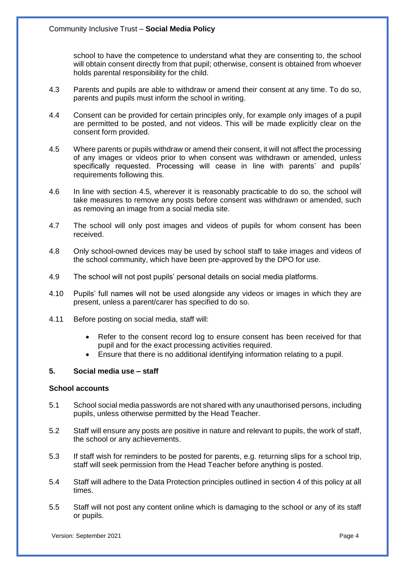school to have the competence to understand what they are consenting to, the school will obtain consent directly from that pupil; otherwise, consent is obtained from whoever holds parental responsibility for the child.

- 4.3 Parents and pupils are able to withdraw or amend their consent at any time. To do so, parents and pupils must inform the school in writing.
- 4.4 Consent can be provided for certain principles only, for example only images of a pupil are permitted to be posted, and not videos. This will be made explicitly clear on the consent form provided.
- 4.5 Where parents or pupils withdraw or amend their consent, it will not affect the processing of any images or videos prior to when consent was withdrawn or amended, unless specifically requested. Processing will cease in line with parents' and pupils' requirements following this.
- 4.6 In line with section 4.5, wherever it is reasonably practicable to do so, the school will take measures to remove any posts before consent was withdrawn or amended, such as removing an image from a social media site.
- 4.7 The school will only post images and videos of pupils for whom consent has been received.
- 4.8 Only school-owned devices may be used by school staff to take images and videos of the school community, which have been pre-approved by the DPO for use.
- 4.9 The school will not post pupils' personal details on social media platforms.
- 4.10 Pupils' full names will not be used alongside any videos or images in which they are present, unless a parent/carer has specified to do so.
- 4.11 Before posting on social media, staff will:
	- Refer to the consent record log to ensure consent has been received for that pupil and for the exact processing activities required.
	- Ensure that there is no additional identifying information relating to a pupil.

# **5. Social media use – staff**

#### **School accounts**

- 5.1 School social media passwords are not shared with any unauthorised persons, including pupils, unless otherwise permitted by the Head Teacher.
- 5.2 Staff will ensure any posts are positive in nature and relevant to pupils, the work of staff, the school or any achievements.
- 5.3 If staff wish for reminders to be posted for parents, e.g. returning slips for a school trip, staff will seek permission from the Head Teacher before anything is posted.
- 5.4 Staff will adhere to the Data Protection principles outlined in section 4 of this policy at all times.
- 5.5 Staff will not post any content online which is damaging to the school or any of its staff or pupils.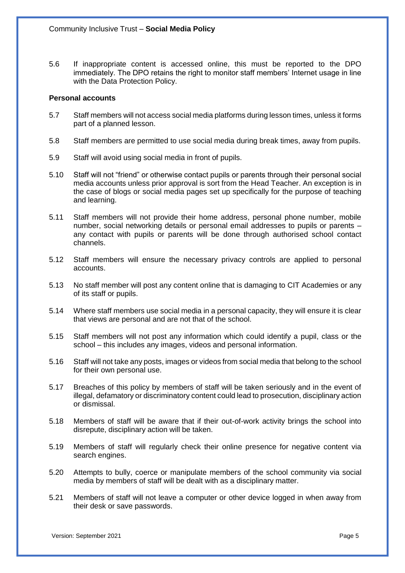5.6 If inappropriate content is accessed online, this must be reported to the DPO immediately. The DPO retains the right to monitor staff members' Internet usage in line with the Data Protection Policy.

#### **Personal accounts**

- 5.7 Staff members will not access social media platforms during lesson times, unless it forms part of a planned lesson.
- 5.8 Staff members are permitted to use social media during break times, away from pupils.
- 5.9 Staff will avoid using social media in front of pupils.
- 5.10 Staff will not "friend" or otherwise contact pupils or parents through their personal social media accounts unless prior approval is sort from the Head Teacher. An exception is in the case of blogs or social media pages set up specifically for the purpose of teaching and learning.
- 5.11 Staff members will not provide their home address, personal phone number, mobile number, social networking details or personal email addresses to pupils or parents – any contact with pupils or parents will be done through authorised school contact channels.
- 5.12 Staff members will ensure the necessary privacy controls are applied to personal accounts.
- 5.13 No staff member will post any content online that is damaging to CIT Academies or any of its staff or pupils.
- 5.14 Where staff members use social media in a personal capacity, they will ensure it is clear that views are personal and are not that of the school.
- 5.15 Staff members will not post any information which could identify a pupil, class or the school – this includes any images, videos and personal information.
- 5.16 Staff will not take any posts, images or videos from social media that belong to the school for their own personal use.
- 5.17 Breaches of this policy by members of staff will be taken seriously and in the event of illegal, defamatory or discriminatory content could lead to prosecution, disciplinary action or dismissal.
- 5.18 Members of staff will be aware that if their out-of-work activity brings the school into disrepute, disciplinary action will be taken.
- 5.19 Members of staff will regularly check their online presence for negative content via search engines.
- 5.20 Attempts to bully, coerce or manipulate members of the school community via social media by members of staff will be dealt with as a disciplinary matter.
- 5.21 Members of staff will not leave a computer or other device logged in when away from their desk or save passwords.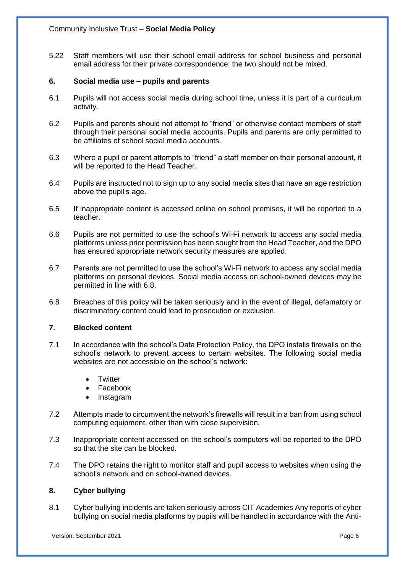5.22 Staff members will use their school email address for school business and personal email address for their private correspondence; the two should not be mixed.

#### **6. Social media use – pupils and parents**

- 6.1 Pupils will not access social media during school time, unless it is part of a curriculum activity.
- 6.2 Pupils and parents should not attempt to "friend" or otherwise contact members of staff through their personal social media accounts. Pupils and parents are only permitted to be affiliates of school social media accounts.
- 6.3 Where a pupil or parent attempts to "friend" a staff member on their personal account, it will be reported to the Head Teacher.
- 6.4 Pupils are instructed not to sign up to any social media sites that have an age restriction above the pupil's age.
- 6.5 If inappropriate content is accessed online on school premises, it will be reported to a teacher.
- 6.6 Pupils are not permitted to use the school's Wi-Fi network to access any social media platforms unless prior permission has been sought from the Head Teacher, and the DPO has ensured appropriate network security measures are applied.
- 6.7 Parents are not permitted to use the school's Wi-Fi network to access any social media platforms on personal devices. Social media access on school-owned devices may be permitted in line with 6.8.
- 6.8 Breaches of this policy will be taken seriously and in the event of illegal, defamatory or discriminatory content could lead to prosecution or exclusion.

### **7. Blocked content**

- 7.1 In accordance with the school's Data Protection Policy, the DPO installs firewalls on the school's network to prevent access to certain websites. The following social media websites are not accessible on the school's network:
	- **Twitter**
	- Facebook
	- Instagram
- 7.2 Attempts made to circumvent the network's firewalls will result in a ban from using school computing equipment, other than with close supervision.
- 7.3 Inappropriate content accessed on the school's computers will be reported to the DPO so that the site can be blocked.
- 7.4 The DPO retains the right to monitor staff and pupil access to websites when using the school's network and on school-owned devices.

#### **8. Cyber bullying**

8.1 Cyber bullying incidents are taken seriously across CIT Academies Any reports of cyber bullying on social media platforms by pupils will be handled in accordance with the Anti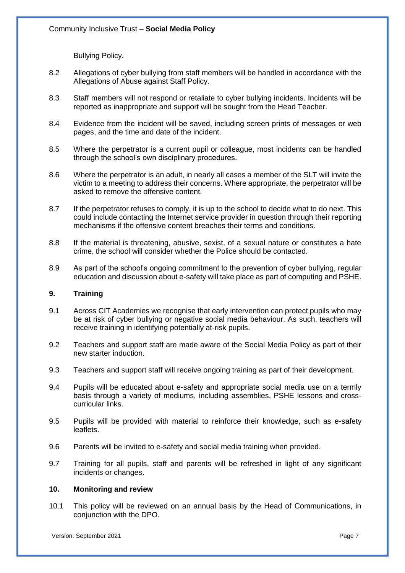Bullying Policy.

- 8.2 Allegations of cyber bullying from staff members will be handled in accordance with the Allegations of Abuse against Staff Policy.
- 8.3 Staff members will not respond or retaliate to cyber bullying incidents. Incidents will be reported as inappropriate and support will be sought from the Head Teacher.
- 8.4 Evidence from the incident will be saved, including screen prints of messages or web pages, and the time and date of the incident.
- 8.5 Where the perpetrator is a current pupil or colleague, most incidents can be handled through the school's own disciplinary procedures.
- 8.6 Where the perpetrator is an adult, in nearly all cases a member of the SLT will invite the victim to a meeting to address their concerns. Where appropriate, the perpetrator will be asked to remove the offensive content.
- 8.7 If the perpetrator refuses to comply, it is up to the school to decide what to do next. This could include contacting the Internet service provider in question through their reporting mechanisms if the offensive content breaches their terms and conditions.
- 8.8 If the material is threatening, abusive, sexist, of a sexual nature or constitutes a hate crime, the school will consider whether the Police should be contacted.
- 8.9 As part of the school's ongoing commitment to the prevention of cyber bullying, regular education and discussion about e-safety will take place as part of computing and PSHE.

# **9. Training**

- 9.1 Across CIT Academies we recognise that early intervention can protect pupils who may be at risk of cyber bullying or negative social media behaviour. As such, teachers will receive training in identifying potentially at-risk pupils.
- 9.2 Teachers and support staff are made aware of the Social Media Policy as part of their new starter induction.
- 9.3 Teachers and support staff will receive ongoing training as part of their development.
- 9.4 Pupils will be educated about e-safety and appropriate social media use on a termly basis through a variety of mediums, including assemblies, PSHE lessons and crosscurricular links.
- 9.5 Pupils will be provided with material to reinforce their knowledge, such as e-safety leaflets.
- 9.6 Parents will be invited to e-safety and social media training when provided.
- 9.7 Training for all pupils, staff and parents will be refreshed in light of any significant incidents or changes.

#### **10. Monitoring and review**

10.1 This policy will be reviewed on an annual basis by the Head of Communications, in conjunction with the DPO.